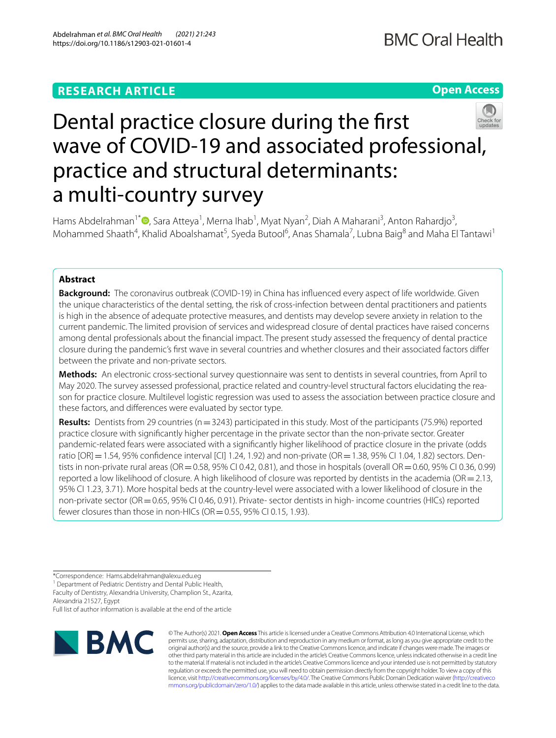# **RESEARCH ARTICLE**

# **Open Access**



# Dental practice closure during the frst wave of COVID-19 and associated professional, practice and structural determinants: a multi-country survey

Hams Abdelrahman<sup>1[\\*](http://orcid.org/0000-0002-8727-6717)</sup> <sup>(D</sup>, Sara Atteya<sup>1</sup>, Merna Ihab<sup>1</sup>, Myat Nyan<sup>2</sup>, Diah A Maharani<sup>3</sup>, Anton Rahardjo<sup>3</sup>, Mohammed Shaath<sup>4</sup>, Khalid Aboalshamat<sup>5</sup>, Syeda Butool<sup>6</sup>, Anas Shamala<sup>7</sup>, Lubna Baig<sup>8</sup> and Maha El Tantawi<sup>1</sup>

## **Abstract**

**Background:** The coronavirus outbreak (COVID-19) in China has infuenced every aspect of life worldwide. Given the unique characteristics of the dental setting, the risk of cross-infection between dental practitioners and patients is high in the absence of adequate protective measures, and dentists may develop severe anxiety in relation to the current pandemic. The limited provision of services and widespread closure of dental practices have raised concerns among dental professionals about the fnancial impact. The present study assessed the frequency of dental practice closure during the pandemic's frst wave in several countries and whether closures and their associated factors difer between the private and non-private sectors.

**Methods:** An electronic cross-sectional survey questionnaire was sent to dentists in several countries, from April to May 2020. The survey assessed professional, practice related and country-level structural factors elucidating the reason for practice closure. Multilevel logistic regression was used to assess the association between practice closure and these factors, and diferences were evaluated by sector type.

**Results:** Dentists from 29 countries (n=3243) participated in this study. Most of the participants (75.9%) reported practice closure with signifcantly higher percentage in the private sector than the non-private sector. Greater pandemic-related fears were associated with a signifcantly higher likelihood of practice closure in the private (odds ratio [OR] = 1.54, 95% confidence interval [CI] 1.24, 1.92) and non-private (OR = 1.38, 95% CI 1.04, 1.82) sectors. Dentists in non-private rural areas (OR = 0.58, 95% CI 0.42, 0.81), and those in hospitals (overall OR = 0.60, 95% CI 0.36, 0.99) reported a low likelihood of closure. A high likelihood of closure was reported by dentists in the academia (OR=2.13, 95% CI 1.23, 3.71). More hospital beds at the country-level were associated with a lower likelihood of closure in the non-private sector (OR = 0.65, 95% CI 0.46, 0.91). Private- sector dentists in high- income countries (HICs) reported fewer closures than those in non-HICs (OR $=$  0.55, 95% CI 0.15, 1.93).

<sup>1</sup> Department of Pediatric Dentistry and Dental Public Health, Faculty of Dentistry, Alexandria University, Champlion St., Azarita,

Alexandria 21527, Egypt

Full list of author information is available at the end of the article



© The Author(s) 2021. **Open Access** This article is licensed under a Creative Commons Attribution 4.0 International License, which permits use, sharing, adaptation, distribution and reproduction in any medium or format, as long as you give appropriate credit to the original author(s) and the source, provide a link to the Creative Commons licence, and indicate if changes were made. The images or other third party material in this article are included in the article's Creative Commons licence, unless indicated otherwise in a credit line to the material. If material is not included in the article's Creative Commons licence and your intended use is not permitted by statutory regulation or exceeds the permitted use, you will need to obtain permission directly from the copyright holder. To view a copy of this licence, visit [http://creativecommons.org/licenses/by/4.0/.](http://creativecommons.org/licenses/by/4.0/) The Creative Commons Public Domain Dedication waiver ([http://creativeco](http://creativecommons.org/publicdomain/zero/1.0/) [mmons.org/publicdomain/zero/1.0/](http://creativecommons.org/publicdomain/zero/1.0/)) applies to the data made available in this article, unless otherwise stated in a credit line to the data.

<sup>\*</sup>Correspondence: Hams.abdelrahman@alexu.edu.eg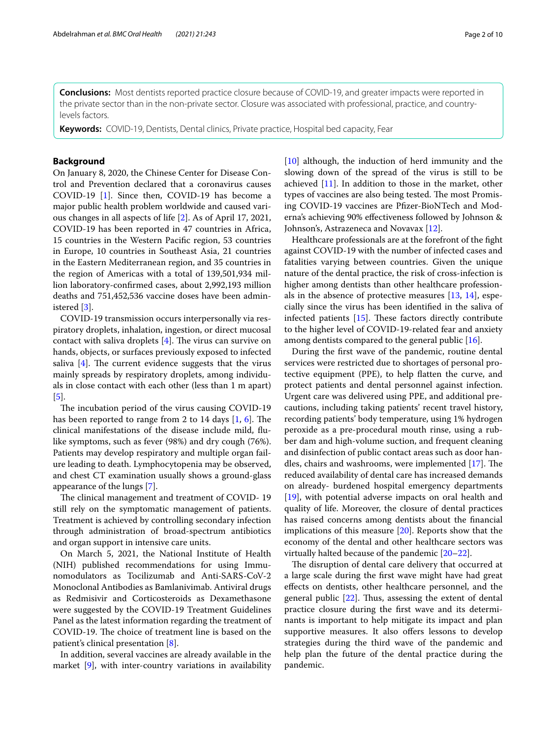**Conclusions:** Most dentists reported practice closure because of COVID-19, and greater impacts were reported in the private sector than in the non-private sector. Closure was associated with professional, practice, and countrylevels factors.

**Keywords:** COVID-19, Dentists, Dental clinics, Private practice, Hospital bed capacity, Fear

## **Background**

On January 8, 2020, the Chinese Center for Disease Control and Prevention declared that a coronavirus causes COVID-19 [\[1](#page-8-0)]. Since then, COVID-19 has become a major public health problem worldwide and caused various changes in all aspects of life [\[2](#page-8-1)]. As of April 17, 2021, COVID-19 has been reported in 47 countries in Africa, 15 countries in the Western Pacifc region, 53 countries in Europe, 10 countries in Southeast Asia, 21 countries in the Eastern Mediterranean region, and 35 countries in the region of Americas with a total of 139,501,934 million laboratory-confrmed cases, about 2,992,193 million deaths and 751,452,536 vaccine doses have been administered [[3\]](#page-8-2).

COVID-19 transmission occurs interpersonally via respiratory droplets, inhalation, ingestion, or direct mucosal contact with saliva droplets  $[4]$  $[4]$ . The virus can survive on hands, objects, or surfaces previously exposed to infected saliva  $[4]$  $[4]$ . The current evidence suggests that the virus mainly spreads by respiratory droplets, among individuals in close contact with each other (less than 1 m apart) [[5\]](#page-8-4).

The incubation period of the virus causing COVID-19 has been reported to range from 2 to 14 days  $[1, 6]$  $[1, 6]$  $[1, 6]$  $[1, 6]$ . The clinical manifestations of the disease include mild, fulike symptoms, such as fever (98%) and dry cough (76%). Patients may develop respiratory and multiple organ failure leading to death. Lymphocytopenia may be observed, and chest CT examination usually shows a ground-glass appearance of the lungs [[7\]](#page-8-6).

The clinical management and treatment of COVID-19 still rely on the symptomatic management of patients. Treatment is achieved by controlling secondary infection through administration of broad-spectrum antibiotics and organ support in intensive care units.

On March 5, 2021, the National Institute of Health (NIH) published recommendations for using Immunomodulators as Tocilizumab and Anti-SARS-CoV-2 Monoclonal Antibodies as Bamlanivimab. Antiviral drugs as Redmisivir and Corticosteroids as Dexamethasone were suggested by the COVID-19 Treatment Guidelines Panel as the latest information regarding the treatment of COVID-19. The choice of treatment line is based on the patient's clinical presentation [\[8](#page-8-7)].

In addition, several vaccines are already available in the market [\[9](#page-8-8)], with inter-country variations in availability [[10\]](#page-8-9) although, the induction of herd immunity and the slowing down of the spread of the virus is still to be achieved  $[11]$  $[11]$ . In addition to those in the market, other types of vaccines are also being tested. The most Promising COVID-19 vaccines are Pfzer-BioNTech and Moderna's achieving 90% efectiveness followed by Johnson & Johnson's, Astrazeneca and Novavax [\[12\]](#page-8-11).

Healthcare professionals are at the forefront of the fght against COVID-19 with the number of infected cases and fatalities varying between countries. Given the unique nature of the dental practice, the risk of cross-infection is higher among dentists than other healthcare professionals in the absence of protective measures [[13,](#page-8-12) [14](#page-8-13)], especially since the virus has been identifed in the saliva of infected patients  $[15]$  $[15]$ . These factors directly contribute to the higher level of COVID-19-related fear and anxiety among dentists compared to the general public [[16](#page-8-15)].

During the frst wave of the pandemic, routine dental services were restricted due to shortages of personal protective equipment (PPE), to help fatten the curve, and protect patients and dental personnel against infection. Urgent care was delivered using PPE, and additional precautions, including taking patients' recent travel history, recording patients' body temperature, using 1% hydrogen peroxide as a pre-procedural mouth rinse, using a rubber dam and high-volume suction, and frequent cleaning and disinfection of public contact areas such as door handles, chairs and washrooms, were implemented  $[17]$  $[17]$ . The reduced availability of dental care has increased demands on already- burdened hospital emergency departments [[19\]](#page-8-17), with potential adverse impacts on oral health and quality of life. Moreover, the closure of dental practices has raised concerns among dentists about the fnancial implications of this measure [\[20](#page-8-18)]. Reports show that the economy of the dental and other healthcare sectors was virtually halted because of the pandemic [[20–](#page-8-18)[22](#page-8-19)].

The disruption of dental care delivery that occurred at a large scale during the frst wave might have had great efects on dentists, other healthcare personnel, and the general public  $[22]$  $[22]$ . Thus, assessing the extent of dental practice closure during the frst wave and its determinants is important to help mitigate its impact and plan supportive measures. It also offers lessons to develop strategies during the third wave of the pandemic and help plan the future of the dental practice during the pandemic.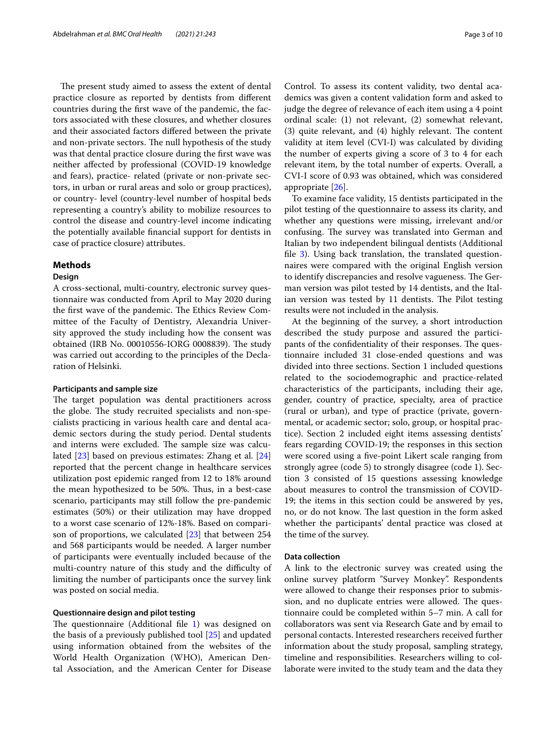The present study aimed to assess the extent of dental practice closure as reported by dentists from diferent countries during the frst wave of the pandemic, the factors associated with these closures, and whether closures and their associated factors difered between the private and non-private sectors. The null hypothesis of the study was that dental practice closure during the frst wave was neither afected by professional (COVID-19 knowledge and fears), practice- related (private or non-private sectors, in urban or rural areas and solo or group practices), or country- level (country-level number of hospital beds representing a country's ability to mobilize resources to control the disease and country-level income indicating the potentially available fnancial support for dentists in case of practice closure) attributes.

## **Methods**

#### **Design**

A cross-sectional, multi-country, electronic survey questionnaire was conducted from April to May 2020 during the first wave of the pandemic. The Ethics Review Committee of the Faculty of Dentistry, Alexandria University approved the study including how the consent was obtained (IRB No. 00010556-IORG 0008839). The study was carried out according to the principles of the Declaration of Helsinki.

## **Participants and sample size**

The target population was dental practitioners across the globe. The study recruited specialists and non-specialists practicing in various health care and dental academic sectors during the study period. Dental students and interns were excluded. The sample size was calculated [\[23\]](#page-8-20) based on previous estimates: Zhang et al. [[24](#page-8-21)] reported that the percent change in healthcare services utilization post epidemic ranged from 12 to 18% around the mean hypothesized to be 50%. Thus, in a best-case scenario, participants may still follow the pre-pandemic estimates (50%) or their utilization may have dropped to a worst case scenario of 12%-18%. Based on comparison of proportions, we calculated [\[23](#page-8-20)] that between 254 and 568 participants would be needed. A larger number of participants were eventually included because of the multi-country nature of this study and the difficulty of limiting the number of participants once the survey link was posted on social media.

## **Questionnaire design and pilot testing**

The questionnaire (Additional file  $1$ ) was designed on the basis of a previously published tool [\[25](#page-8-22)] and updated using information obtained from the websites of the World Health Organization (WHO), American Dental Association, and the American Center for Disease

Control. To assess its content validity, two dental academics was given a content validation form and asked to judge the degree of relevance of each item using a 4 point ordinal scale: (1) not relevant, (2) somewhat relevant,  $(3)$  quite relevant, and  $(4)$  highly relevant. The content validity at item level (CVI-I) was calculated by dividing the number of experts giving a score of 3 to 4 for each relevant item, by the total number of experts. Overall, a CVI-I score of 0.93 was obtained, which was considered appropriate [[26\]](#page-8-23).

To examine face validity, 15 dentists participated in the pilot testing of the questionnaire to assess its clarity, and whether any questions were missing, irrelevant and/or confusing. The survey was translated into German and Italian by two independent bilingual dentists (Additional fle [3](#page-7-1)). Using back translation, the translated questionnaires were compared with the original English version to identify discrepancies and resolve vagueness. The German version was pilot tested by 14 dentists, and the Italian version was tested by 11 dentists. The Pilot testing results were not included in the analysis.

At the beginning of the survey, a short introduction described the study purpose and assured the participants of the confidentiality of their responses. The questionnaire included 31 close-ended questions and was divided into three sections. Section 1 included questions related to the sociodemographic and practice-related characteristics of the participants, including their age, gender, country of practice, specialty, area of practice (rural or urban), and type of practice (private, governmental, or academic sector; solo, group, or hospital practice). Section 2 included eight items assessing dentists' fears regarding COVID-19; the responses in this section were scored using a fve-point Likert scale ranging from strongly agree (code 5) to strongly disagree (code 1). Section 3 consisted of 15 questions assessing knowledge about measures to control the transmission of COVID-19; the items in this section could be answered by yes, no, or do not know. The last question in the form asked whether the participants' dental practice was closed at the time of the survey.

## **Data collection**

A link to the electronic survey was created using the online survey platform "Survey Monkey''. Respondents were allowed to change their responses prior to submission, and no duplicate entries were allowed. The questionnaire could be completed within 5–7 min. A call for collaborators was sent via Research Gate and by email to personal contacts. Interested researchers received further information about the study proposal, sampling strategy, timeline and responsibilities. Researchers willing to collaborate were invited to the study team and the data they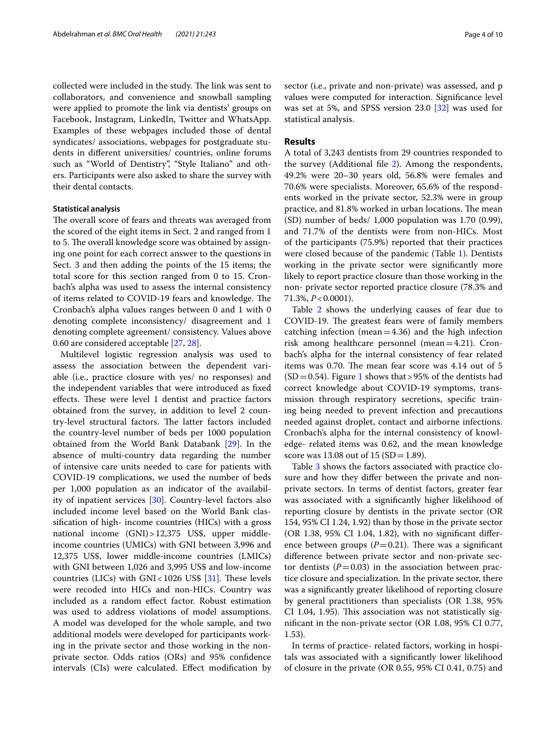collected were included in the study. The link was sent to collaborators, and convenience and snowball sampling were applied to promote the link via dentists' groups on Facebook, Instagram, LinkedIn, Twitter and WhatsApp. Examples of these webpages included those of dental syndicates/ associations, webpages for postgraduate students in diferent universities/ countries, online forums such as "World of Dentistry", "Style Italiano" and others. Participants were also asked to share the survey with their dental contacts.

## **Statistical analysis**

The overall score of fears and threats was averaged from the scored of the eight items in Sect. 2 and ranged from 1 to 5. The overall knowledge score was obtained by assigning one point for each correct answer to the questions in Sect. 3 and then adding the points of the 15 items; the total score for this section ranged from 0 to 15. Cronbach's alpha was used to assess the internal consistency of items related to COVID-19 fears and knowledge. The Cronbach's alpha values ranges between 0 and 1 with 0 denoting complete inconsistency/ disagreement and 1 denoting complete agreement/ consistency. Values above 0.60 are considered acceptable [\[27](#page-8-24), [28](#page-8-25)].

Multilevel logistic regression analysis was used to assess the association between the dependent variable (i.e., practice closure with yes/ no responses) and the independent variables that were introduced as fxed effects. These were level 1 dentist and practice factors obtained from the survey, in addition to level 2 country-level structural factors. The latter factors included the country-level number of beds per 1000 population obtained from the World Bank Databank [[29\]](#page-8-26). In the absence of multi-country data regarding the number of intensive care units needed to care for patients with COVID-19 complications, we used the number of beds per 1,000 population as an indicator of the availability of inpatient services [[30\]](#page-8-27). Country-level factors also included income level based on the World Bank classifcation of high- income countries (HICs) with a gross national income (GNI)>12,375 US\$, upper middleincome countries (UMICs) with GNI between 3,996 and 12,375 US\$, lower middle-income countries (LMICs) with GNI between 1,026 and 3,995 US\$ and low-income countries (LICs) with  $GNI < 1026$  US\$ [\[31\]](#page-8-28). These levels were recoded into HICs and non-HICs. Country was included as a random efect factor. Robust estimation was used to address violations of model assumptions. A model was developed for the whole sample, and two additional models were developed for participants working in the private sector and those working in the nonprivate sector. Odds ratios (ORs) and 95% confdence intervals (CIs) were calculated. Efect modifcation by sector (i.e., private and non-private) was assessed, and p values were computed for interaction. Signifcance level was set at 5%, and SPSS version 23.0 [\[32](#page-8-29)] was used for statistical analysis.

## **Results**

A total of 3,243 dentists from 29 countries responded to the survey (Additional fle [2\)](#page-7-2). Among the respondents, 49.2% were 20–30 years old, 56.8% were females and 70.6% were specialists. Moreover, 65.6% of the respondents worked in the private sector, 52.3% were in group practice, and 81.8% worked in urban locations. The mean (SD) number of beds/ 1,000 population was 1.70 (0.99), and 71.7% of the dentists were from non-HICs. Most of the participants (75.9%) reported that their practices were closed because of the pandemic (Table [1](#page-4-0)). Dentists working in the private sector were signifcantly more likely to report practice closure than those working in the non- private sector reported practice closure (78.3% and 71.3%, *P*<0.0001).

Table [2](#page-4-1) shows the underlying causes of fear due to COVID-19. The greatest fears were of family members catching infection (mean=4.36) and the high infection risk among healthcare personnel (mean=4.21). Cronbach's alpha for the internal consistency of fear related items was 0.70. The mean fear score was  $4.14$  out of  $5$  $(SD=0.54)$ . Figure [1](#page-5-0) shows that > 95% of the dentists had correct knowledge about COVID-19 symptoms, transmission through respiratory secretions, specifc training being needed to prevent infection and precautions needed against droplet, contact and airborne infections. Cronbach's alpha for the internal consistency of knowledge- related items was 0.62, and the mean knowledge score was 13.08 out of 15  $(SD = 1.89)$ .

Table [3](#page-5-1) shows the factors associated with practice closure and how they difer between the private and nonprivate sectors. In terms of dentist factors, greater fear was associated with a signifcantly higher likelihood of reporting closure by dentists in the private sector (OR 154, 95% CI 1.24, 1.92) than by those in the private sector (OR 1.38, 95% CI 1.04, 1.82), with no signifcant diference between groups  $(P=0.21)$ . There was a significant diference between private sector and non-private sector dentists  $(P=0.03)$  in the association between practice closure and specialization. In the private sector, there was a signifcantly greater likelihood of reporting closure by general practitioners than specialists (OR 1.38, 95%  $CI$  1.04, 1.95). This association was not statistically signifcant in the non-private sector (OR 1.08, 95% CI 0.77, 1.53).

In terms of practice- related factors, working in hospitals was associated with a signifcantly lower likelihood of closure in the private (OR 0.55, 95% CI 0.41, 0.75) and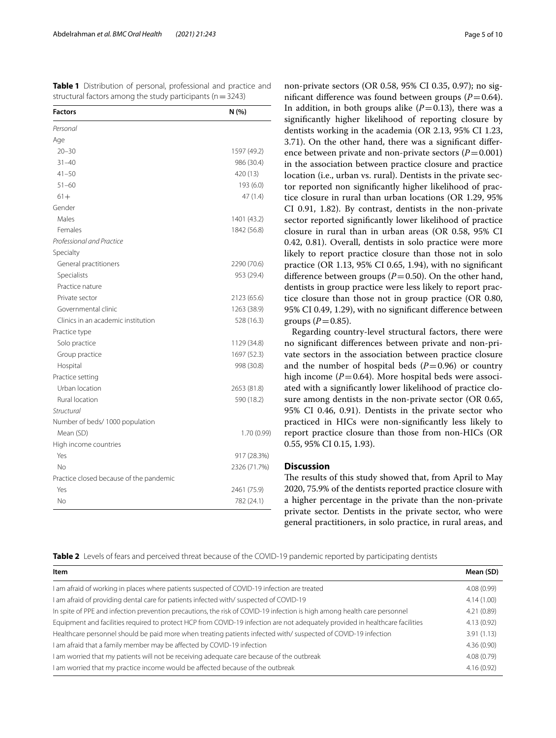<span id="page-4-0"></span>**Table 1** Distribution of personal, professional and practice and structural factors among the study participants ( $n=3243$ )

| <b>Factors</b>                          | N (%)        |  |  |
|-----------------------------------------|--------------|--|--|
| Personal                                |              |  |  |
| Age                                     |              |  |  |
| $20 - 30$                               | 1597 (49.2)  |  |  |
| $31 - 40$                               | 986 (30.4)   |  |  |
| $41 - 50$                               | 420 (13)     |  |  |
| $51 - 60$                               | 193 (6.0)    |  |  |
| $61 +$                                  | 47 (1.4)     |  |  |
| Gender                                  |              |  |  |
| Males                                   | 1401 (43.2)  |  |  |
| Females                                 | 1842 (56.8)  |  |  |
| Professional and Practice               |              |  |  |
| Specialty                               |              |  |  |
| General practitioners                   | 2290 (70.6)  |  |  |
| Specialists                             | 953 (29.4)   |  |  |
| Practice nature                         |              |  |  |
| Private sector                          | 2123 (65.6)  |  |  |
| Governmental clinic                     | 1263 (38.9)  |  |  |
| Clinics in an academic institution      | 528 (16.3)   |  |  |
| Practice type                           |              |  |  |
| Solo practice                           | 1129 (34.8)  |  |  |
| Group practice                          | 1697 (52.3)  |  |  |
| Hospital                                | 998 (30.8)   |  |  |
| Practice setting                        |              |  |  |
| Urban location                          | 2653 (81.8)  |  |  |
| Rural location                          | 590 (18.2)   |  |  |
| Structural                              |              |  |  |
| Number of beds/1000 population          |              |  |  |
| Mean (SD)                               | 1.70 (0.99)  |  |  |
| High income countries                   |              |  |  |
| Yes                                     | 917 (28.3%)  |  |  |
| <b>No</b>                               | 2326 (71.7%) |  |  |
| Practice closed because of the pandemic |              |  |  |
| Yes                                     | 2461 (75.9)  |  |  |
| No                                      | 782 (24.1)   |  |  |

non-private sectors (OR 0.58, 95% CI 0.35, 0.97); no significant difference was found between groups  $(P=0.64)$ . In addition, in both groups alike  $(P=0.13)$ , there was a signifcantly higher likelihood of reporting closure by dentists working in the academia (OR 2.13, 95% CI 1.23, 3.71). On the other hand, there was a signifcant diference between private and non-private sectors  $(P=0.001)$ in the association between practice closure and practice location (i.e., urban vs. rural). Dentists in the private sector reported non signifcantly higher likelihood of practice closure in rural than urban locations (OR 1.29, 95% CI 0.91, 1.82). By contrast, dentists in the non-private sector reported signifcantly lower likelihood of practice closure in rural than in urban areas (OR 0.58, 95% CI 0.42, 0.81). Overall, dentists in solo practice were more likely to report practice closure than those not in solo practice (OR 1.13, 95% CI 0.65, 1.94), with no signifcant difference between groups  $(P=0.50)$ . On the other hand, dentists in group practice were less likely to report practice closure than those not in group practice (OR 0.80, 95% CI 0.49, 1.29), with no signifcant diference between groups  $(P=0.85)$ .

Regarding country-level structural factors, there were no signifcant diferences between private and non-private sectors in the association between practice closure and the number of hospital beds  $(P=0.96)$  or country high income  $(P=0.64)$ . More hospital beds were associated with a signifcantly lower likelihood of practice closure among dentists in the non-private sector (OR 0.65, 95% CI 0.46, 0.91). Dentists in the private sector who practiced in HICs were non-signifcantly less likely to report practice closure than those from non-HICs (OR 0.55, 95% CI 0.15, 1.93).

## **Discussion**

The results of this study showed that, from April to May 2020, 75.9% of the dentists reported practice closure with a higher percentage in the private than the non-private private sector. Dentists in the private sector, who were general practitioners, in solo practice, in rural areas, and

<span id="page-4-1"></span>**Table 2** Levels of fears and perceived threat because of the COVID-19 pandemic reported by participating dentists

| Item                                                                                                                          | Mean (SD)  |
|-------------------------------------------------------------------------------------------------------------------------------|------------|
| I am afraid of working in places where patients suspected of COVID-19 infection are treated                                   | 4.08(0.99) |
| I am afraid of providing dental care for patients infected with/ suspected of COVID-19                                        | 4.14(1.00) |
| In spite of PPE and infection prevention precautions, the risk of COVID-19 infection is high among health care personnel      | 4.21(0.89) |
| Equipment and facilities required to protect HCP from COVID-19 infection are not adequately provided in healthcare facilities | 4.13(0.92) |
| Healthcare personnel should be paid more when treating patients infected with/suspected of COVID-19 infection                 | 3.91(1.13) |
| I am afraid that a family member may be affected by COVID-19 infection                                                        | 4.36(0.90) |
| I am worried that my patients will not be receiving adequate care because of the outbreak                                     | 4.08(0.79) |
| I am worried that my practice income would be affected because of the outbreak                                                | 4.16(0.92) |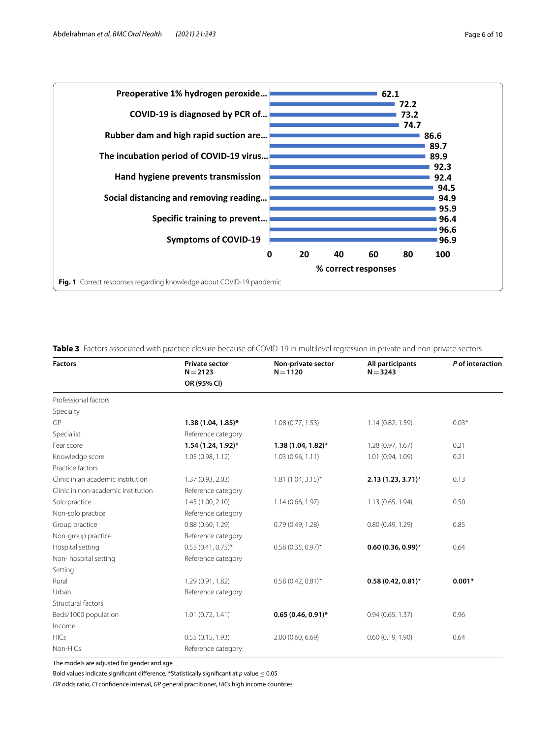

<span id="page-5-1"></span><span id="page-5-0"></span>**Table 3** Factors associated with practice closure because of COVID-19 in multilevel regression in private and non-private sectors

| <b>Factors</b>                     | <b>Private sector</b><br>$N = 2123$ | Non-private sector<br>$N = 1120$ | All participants<br>$N = 3243$ | P of interaction |  |
|------------------------------------|-------------------------------------|----------------------------------|--------------------------------|------------------|--|
|                                    | OR (95% CI)                         |                                  |                                |                  |  |
| Professional factors               |                                     |                                  |                                |                  |  |
| Specialty                          |                                     |                                  |                                |                  |  |
| GP                                 | $1.38(1.04, 1.85)^*$                | 1.08(0.77, 1.53)                 | 1.14(0.82, 1.59)               | $0.03*$          |  |
| Specialist                         | Reference category                  |                                  |                                |                  |  |
| Fear score                         | 1.54 (1.24, 1.92)*                  | $1.38(1.04, 1.82)^{*}$           | 1.28(0.97, 1.67)               | 0.21             |  |
| Knowledge score                    | 1.05(0.98, 1.12)                    | 1.03(0.96, 1.11)                 | 1.01 (0.94, 1.09)              | 0.21             |  |
| Practice factors                   |                                     |                                  |                                |                  |  |
| Clinic in an academic institution  | 1.37 (0.93, 2.03)                   | $1.81(1.04, 3.15)^*$             | $2.13(1.23, 3.71)^{*}$         | 0.13             |  |
| Clinic in non-academic institution | Reference category                  |                                  |                                |                  |  |
| Solo practice                      | 1.45(1.00, 2.10)                    | 1.14(0.66, 1.97)                 | 1.13 (0.65, 1.94)              | 0.50             |  |
| Non-solo practice                  | Reference category                  |                                  |                                |                  |  |
| Group practice                     | 0.88(0.60, 1.29)                    | 0.79(0.49, 1.28)                 | 0.80(0.49, 1.29)               | 0.85             |  |
| Non-group practice                 | Reference category                  |                                  |                                |                  |  |
| Hospital setting                   | $0.55$ (0.41, 0.75)*                | $0.58(0.35, 0.97)$ *             | $0.60(0.36, 0.99)^*$           | 0.64             |  |
| Non-hospital setting               | Reference category                  |                                  |                                |                  |  |
| Setting                            |                                     |                                  |                                |                  |  |
| Rural                              | 1.29 (0.91, 1.82)                   | $0.58(0.42, 0.81)$ *             | $0.58(0.42, 0.81)$ *           | $0.001*$         |  |
| Urban                              | Reference category                  |                                  |                                |                  |  |
| Structural factors                 |                                     |                                  |                                |                  |  |
| Beds/1000 population               | 1.01(0.72, 1.41)                    | $0.65(0.46, 0.91)$ *             | 0.94(0.65, 1.37)               | 0.96             |  |
| Income                             |                                     |                                  |                                |                  |  |
| <b>HICs</b>                        | 0.55(0.15, 1.93)                    | 2.00(0.60, 6.69)                 | 0.60(0.19, 1.90)               | 0.64             |  |
| Non-HICs                           | Reference category                  |                                  |                                |                  |  |

The models are adjusted for gender and age

Bold values indicate signifcant diference, \*Statistically signifcant at *p* value ≤ 0.05

*OR* odds ratio, *CI* confdence interval, *GP* general practitioner, *HICs* high income countries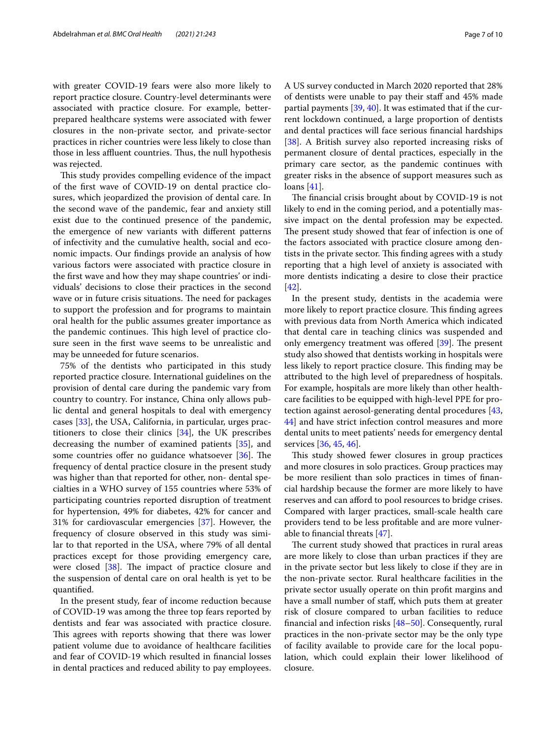with greater COVID-19 fears were also more likely to report practice closure. Country-level determinants were associated with practice closure. For example, betterprepared healthcare systems were associated with fewer closures in the non-private sector, and private-sector practices in richer countries were less likely to close than those in less affluent countries. Thus, the null hypothesis was rejected.

This study provides compelling evidence of the impact of the frst wave of COVID-19 on dental practice closures, which jeopardized the provision of dental care. In the second wave of the pandemic, fear and anxiety still exist due to the continued presence of the pandemic, the emergence of new variants with diferent patterns of infectivity and the cumulative health, social and economic impacts. Our fndings provide an analysis of how various factors were associated with practice closure in the frst wave and how they may shape countries' or individuals' decisions to close their practices in the second wave or in future crisis situations. The need for packages to support the profession and for programs to maintain oral health for the public assumes greater importance as the pandemic continues. This high level of practice closure seen in the frst wave seems to be unrealistic and may be unneeded for future scenarios.

75% of the dentists who participated in this study reported practice closure. International guidelines on the provision of dental care during the pandemic vary from country to country. For instance, China only allows public dental and general hospitals to deal with emergency cases [\[33\]](#page-8-30), the USA, California, in particular, urges practitioners to close their clinics [\[34](#page-8-31)], the UK prescribes decreasing the number of examined patients [[35\]](#page-9-0), and some countries offer no guidance whatsoever  $[36]$ . The frequency of dental practice closure in the present study was higher than that reported for other, non- dental specialties in a WHO survey of 155 countries where 53% of participating countries reported disruption of treatment for hypertension, 49% for diabetes, 42% for cancer and 31% for cardiovascular emergencies [\[37](#page-9-2)]. However, the frequency of closure observed in this study was similar to that reported in the USA, where 79% of all dental practices except for those providing emergency care, were closed  $[38]$  $[38]$  $[38]$ . The impact of practice closure and the suspension of dental care on oral health is yet to be quantifed.

In the present study, fear of income reduction because of COVID-19 was among the three top fears reported by dentists and fear was associated with practice closure. This agrees with reports showing that there was lower patient volume due to avoidance of healthcare facilities and fear of COVID-19 which resulted in fnancial losses in dental practices and reduced ability to pay employees. A US survey conducted in March 2020 reported that 28% of dentists were unable to pay their staf and 45% made partial payments [[39,](#page-9-4) [40](#page-9-5)]. It was estimated that if the current lockdown continued, a large proportion of dentists and dental practices will face serious fnancial hardships [[38\]](#page-9-3). A British survey also reported increasing risks of permanent closure of dental practices, especially in the primary care sector, as the pandemic continues with greater risks in the absence of support measures such as loans [[41\]](#page-9-6).

The financial crisis brought about by COVID-19 is not likely to end in the coming period, and a potentially massive impact on the dental profession may be expected. The present study showed that fear of infection is one of the factors associated with practice closure among dentists in the private sector. This finding agrees with a study reporting that a high level of anxiety is associated with more dentists indicating a desire to close their practice [[42\]](#page-9-7).

In the present study, dentists in the academia were more likely to report practice closure. This finding agrees with previous data from North America which indicated that dental care in teaching clinics was suspended and only emergency treatment was offered  $[39]$ . The present study also showed that dentists working in hospitals were less likely to report practice closure. This finding may be attributed to the high level of preparedness of hospitals. For example, hospitals are more likely than other healthcare facilities to be equipped with high-level PPE for protection against aerosol-generating dental procedures [[43](#page-9-8), [44\]](#page-9-9) and have strict infection control measures and more dental units to meet patients' needs for emergency dental services [[36](#page-9-1), [45,](#page-9-10) [46](#page-9-11)].

This study showed fewer closures in group practices and more closures in solo practices. Group practices may be more resilient than solo practices in times of fnancial hardship because the former are more likely to have reserves and can aford to pool resources to bridge crises. Compared with larger practices, small-scale health care providers tend to be less proftable and are more vulnerable to fnancial threats [\[47](#page-9-12)].

The current study showed that practices in rural areas are more likely to close than urban practices if they are in the private sector but less likely to close if they are in the non-private sector. Rural healthcare facilities in the private sector usually operate on thin proft margins and have a small number of staf, which puts them at greater risk of closure compared to urban facilities to reduce fnancial and infection risks [\[48](#page-9-13)[–50\]](#page-9-14). Consequently, rural practices in the non-private sector may be the only type of facility available to provide care for the local population, which could explain their lower likelihood of closure.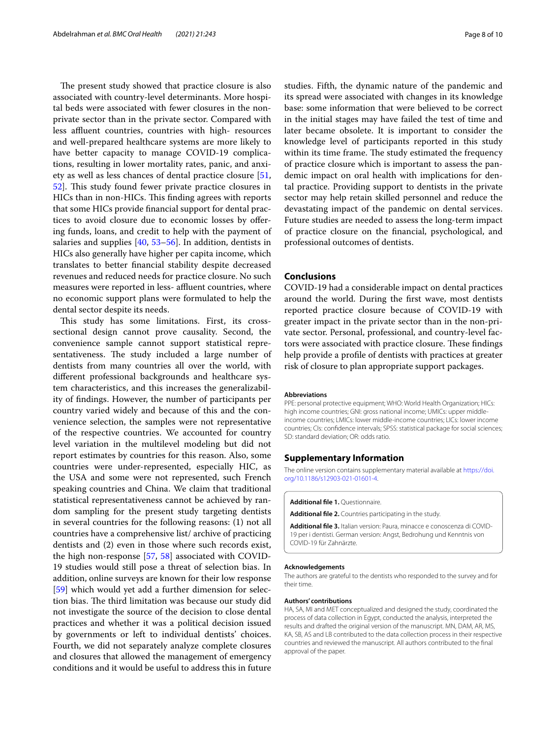The present study showed that practice closure is also associated with country-level determinants. More hospital beds were associated with fewer closures in the nonprivate sector than in the private sector. Compared with less affluent countries, countries with high- resources and well-prepared healthcare systems are more likely to have better capacity to manage COVID-19 complications, resulting in lower mortality rates, panic, and anxiety as well as less chances of dental practice closure [\[51](#page-9-15), [52\]](#page-9-16). This study found fewer private practice closures in HICs than in non-HICs. This finding agrees with reports that some HICs provide fnancial support for dental practices to avoid closure due to economic losses by ofering funds, loans, and credit to help with the payment of salaries and supplies [\[40](#page-9-5), [53](#page-9-17)[–56\]](#page-9-18). In addition, dentists in HICs also generally have higher per capita income, which translates to better fnancial stability despite decreased revenues and reduced needs for practice closure. No such measures were reported in less- affluent countries, where no economic support plans were formulated to help the dental sector despite its needs.

This study has some limitations. First, its crosssectional design cannot prove causality. Second, the convenience sample cannot support statistical representativeness. The study included a large number of dentists from many countries all over the world, with diferent professional backgrounds and healthcare system characteristics, and this increases the generalizability of fndings. However, the number of participants per country varied widely and because of this and the convenience selection, the samples were not representative of the respective countries. We accounted for country level variation in the multilevel modeling but did not report estimates by countries for this reason. Also, some countries were under-represented, especially HIC, as the USA and some were not represented, such French speaking countries and China. We claim that traditional statistical representativeness cannot be achieved by random sampling for the present study targeting dentists in several countries for the following reasons: (1) not all countries have a comprehensive list/ archive of practicing dentists and (2) even in those where such records exist, the high non-response [[57,](#page-9-19) [58\]](#page-9-20) associated with COVID-19 studies would still pose a threat of selection bias. In addition, online surveys are known for their low response [[59\]](#page-9-21) which would yet add a further dimension for selection bias. The third limitation was because our study did not investigate the source of the decision to close dental practices and whether it was a political decision issued by governments or left to individual dentists' choices. Fourth, we did not separately analyze complete closures and closures that allowed the management of emergency conditions and it would be useful to address this in future studies. Fifth, the dynamic nature of the pandemic and its spread were associated with changes in its knowledge base: some information that were believed to be correct in the initial stages may have failed the test of time and later became obsolete. It is important to consider the knowledge level of participants reported in this study within its time frame. The study estimated the frequency of practice closure which is important to assess the pandemic impact on oral health with implications for dental practice. Providing support to dentists in the private sector may help retain skilled personnel and reduce the devastating impact of the pandemic on dental services. Future studies are needed to assess the long-term impact of practice closure on the fnancial, psychological, and professional outcomes of dentists.

## **Conclusions**

COVID-19 had a considerable impact on dental practices around the world. During the frst wave, most dentists reported practice closure because of COVID-19 with greater impact in the private sector than in the non-private sector. Personal, professional, and country-level factors were associated with practice closure. These findings help provide a profle of dentists with practices at greater risk of closure to plan appropriate support packages.

#### **Abbreviations**

PPE: personal protective equipment; WHO: World Health Organization; HICs: high income countries; GNI: gross national income; UMICs: upper middleincome countries; LMICs: lower middle-income countries; LICs: lower income countries; CIs: confdence intervals; SPSS: statistical package for social sciences; SD: standard deviation; OR: odds ratio.

## **Supplementary Information**

The online version contains supplementary material available at [https://doi.](https://doi.org/10.1186/s12903-021-01601-4) [org/10.1186/s12903-021-01601-4](https://doi.org/10.1186/s12903-021-01601-4).

<span id="page-7-2"></span><span id="page-7-0"></span>**Additional fle 1.** Questionnaire.

<span id="page-7-1"></span>**Additional fle 2.** Countries participating in the study.

**Additional fle 3.** Italian version: Paura, minacce e conoscenza di COVID-19 per i dentisti. German version: Angst, Bedrohung und Kenntnis von COVID-19 für Zahnärzte.

#### **Acknowledgements**

The authors are grateful to the dentists who responded to the survey and for their time.

#### **Authors' contributions**

HA, SA, MI and MET conceptualized and designed the study, coordinated the process of data collection in Egypt, conducted the analysis, interpreted the results and drafted the original version of the manuscript. MN, DAM, AR, MS, KA, SB, AS and LB contributed to the data collection process in their respective countries and reviewed the manuscript. All authors contributed to the fnal approval of the paper.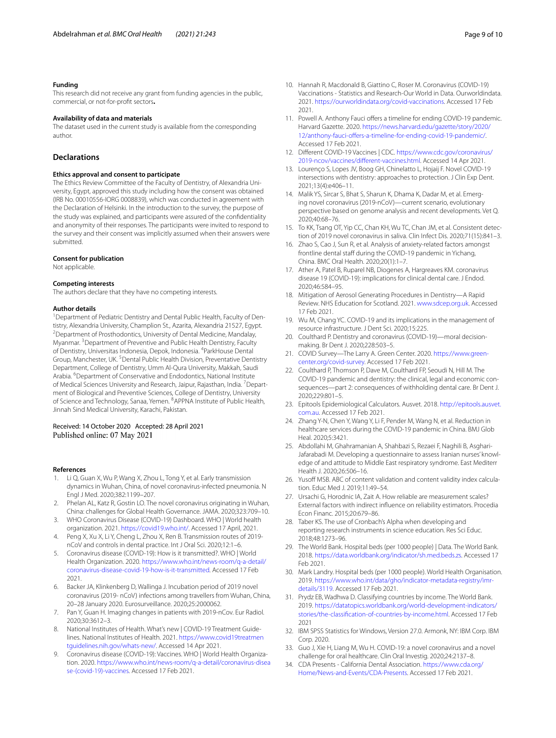#### **Funding**

This research did not receive any grant from funding agencies in the public, commercial, or not-for-proft sectors**.**

#### **Availability of data and materials**

The dataset used in the current study is available from the corresponding author.

## **Declarations**

#### **Ethics approval and consent to participate**

The Ethics Review Committee of the Faculty of Dentistry, of Alexandria University, Egypt, approved this study including how the consent was obtained (IRB No. 00010556-IORG 0008839), which was conducted in agreement with the Declaration of Helsinki. In the introduction to the survey, the purpose of the study was explained, and participants were assured of the confdentiality and anonymity of their responses. The participants were invited to respond to the survey and their consent was implicitly assumed when their answers were submitted.

### **Consent for publication**

Not applicable.

#### **Competing interests**

The authors declare that they have no competing interests.

#### **Author details**

<sup>1</sup> Department of Pediatric Dentistry and Dental Public Health, Faculty of Dentistry, Alexandria University, Champlion St., Azarita, Alexandria 21527, Egypt. 2 <sup>2</sup> Department of Prosthodontics, University of Dental Medicine, Mandalay, Myanmar. <sup>3</sup> Department of Preventive and Public Health Dentistry, Faculty of Dentistry, Universitas Indonesia, Depok, Indonesia. <sup>4</sup>ParkHouse Dental Group, Manchester, UK. <sup>5</sup> Dental Public Health Division, Preventative Dentistry Department, College of Dentistry, Umm Al-Qura University, Makkah, Saudi Arabia. <sup>6</sup>Department of Conservative and Endodontics, National Institute of Medical Sciences University and Research, Jaipur, Rajasthan, India. <sup>7</sup> Department of Biological and Preventive Sciences, College of Dentistry, University of Science and Technology, Sanaa, Yemen. <sup>8</sup> APPNA Institute of Public Health, Jinnah Sind Medical University, Karachi, Pakistan.

## Received: 14 October 2020 Accepted: 28 April 2021 Published online: 07 May 2021

#### **References**

- <span id="page-8-0"></span>1. Li Q, Guan X, Wu P, Wang X, Zhou L, Tong Y, et al. Early transmission dynamics in Wuhan, China, of novel coronavirus-infected pneumonia. N Engl J Med. 2020;382:1199–207.
- <span id="page-8-1"></span>2. Phelan AL, Katz R, Gostin LO. The novel coronavirus originating in Wuhan, China: challenges for Global Health Governance. JAMA. 2020;323:709–10.
- <span id="page-8-2"></span>3. WHO Coronavirus Disease (COVID-19) Dashboard. WHO | World health organization. 2021. <https://covid19.who.int/>. Accessed 17 April, 2021.
- <span id="page-8-3"></span>4. Peng X, Xu X, Li Y, Cheng L, Zhou X, Ren B. Transmission routes of 2019 nCoV and controls in dental practice. Int J Oral Sci. 2020;12:1–6.
- <span id="page-8-4"></span>5. Coronavirus disease (COVID-19): How is it transmitted?. WHO | World Health Organization. 2020. [https://www.who.int/news-room/q-a-detail/](https://www.who.int/news-room/q-a-detail/coronavirus-disease-covid-19-how-is-it-transmitted) [coronavirus-disease-covid-19-how-is-it-transmitted](https://www.who.int/news-room/q-a-detail/coronavirus-disease-covid-19-how-is-it-transmitted). Accessed 17 Feb 2021.
- <span id="page-8-5"></span>6. Backer JA, Klinkenberg D, Wallinga J. Incubation period of 2019 novel coronavirus (2019- nCoV) infections among travellers from Wuhan, China, 20–28 January 2020. Eurosurveillance. 2020;25:2000062.
- <span id="page-8-6"></span>7. Pan Y, Guan H. Imaging changes in patients with 2019-nCov. Eur Radiol. 2020;30:3612–3.
- <span id="page-8-7"></span>8. National Institutes of Health. What's new | COVID-19 Treatment Guidelines. National Institutes of Health. 2021. [https://www.covid19treatmen](https://www.covid19treatmentguidelines.nih.gov/whats-new/) [tguidelines.nih.gov/whats-new/](https://www.covid19treatmentguidelines.nih.gov/whats-new/). Accessed 14 Apr 2021.
- <span id="page-8-8"></span>9. Coronavirus disease (COVID-19): Vaccines. WHO | World Health Organization. 2020. [https://www.who.int/news-room/q-a-detail/coronavirus-disea](https://www.who.int/news-room/q-a-detail/coronavirus-disease-(covid-19)-vaccines) [se-\(covid-19\)-vaccines.](https://www.who.int/news-room/q-a-detail/coronavirus-disease-(covid-19)-vaccines) Accessed 17 Feb 2021.
- <span id="page-8-9"></span>10. Hannah R, Macdonald B, Giattino C, Roser M. Coronavirus (COVID-19) Vaccinations - Statistics and Research-Our World in Data. Ourworldindata. 2021. [https://ourworldindata.org/covid-vaccinations.](https://ourworldindata.org/covid-vaccinations) Accessed 17 Feb 2021.
- <span id="page-8-10"></span>11. Powell A. Anthony Fauci offers a timeline for ending COVID-19 pandemic. Harvard Gazette. 2020. [https://news.harvard.edu/gazette/story/2020/](https://news.harvard.edu/gazette/story/2020/12/anthony-fauci-offers-a-timeline-for-ending-covid-19-pandemic/) [12/anthony-fauci-ofers-a-timeline-for-ending-covid-19-pandemic/](https://news.harvard.edu/gazette/story/2020/12/anthony-fauci-offers-a-timeline-for-ending-covid-19-pandemic/). Accessed 17 Feb 2021.
- <span id="page-8-11"></span>12. Diferent COVID-19 Vaccines | CDC. [https://www.cdc.gov/coronavirus/](https://www.cdc.gov/coronavirus/2019-ncov/vaccines/different-vaccines.html) 2019-ncov/vaccines/different-vaccines.html. Accessed 14 Apr 2021.
- <span id="page-8-12"></span>13. Lourenço S, Lopes JV, Boog GH, Chinelatto L, Hojaij F. Novel COVID-19 intersections with dentistry: approaches to protection. J Clin Exp Dent. 2021;13(4):e406–11.
- <span id="page-8-13"></span>14. Malik YS, Sircar S, Bhat S, Sharun K, Dhama K, Dadar M, et al. Emerging novel coronavirus (2019-nCoV)—current scenario, evolutionary perspective based on genome analysis and recent developments. Vet Q. 2020;40:68–76.
- <span id="page-8-14"></span>15. To KK, Tsang OT, Yip CC, Chan KH, Wu TC, Chan JM, et al. Consistent detection of 2019 novel coronavirus in saliva. Clin Infect Dis. 2020;71(15):841–3.
- <span id="page-8-15"></span>16. Zhao S, Cao J, Sun R, et al. Analysis of anxiety-related factors amongst frontline dental staff during the COVID-19 pandemic in Yichang, China. BMC Oral Health. 2020;20(1):1–7.
- <span id="page-8-16"></span>17. Ather A, Patel B, Ruparel NB, Diogenes A, Hargreaves KM. coronavirus disease 19 (COVID-19): implications for clinical dental care. J Endod. 2020;46:584–95.
- 18. Mitigation of Aerosol Generating Procedures in Dentistry—A Rapid Review. NHS Education for Scotland. 2021. [www.sdcep.org.uk](http://www.sdcep.org.uk). Accessed 17 Feb 2021.
- <span id="page-8-17"></span>19. Wu M, Chang YC. COVID-19 and its implications in the management of resource infrastructure. J Dent Sci. 2020;15:225.
- <span id="page-8-18"></span>20. Coulthard P. Dentistry and coronavirus (COVID-19)-moral decisionmaking. Br Dent J. 2020;228:503–5.
- 21. COVID Survey—The Larry A. Green Center. 2020. [https://www.green](https://www.green-center.org/covid-survey)[center.org/covid-survey.](https://www.green-center.org/covid-survey) Accessed 17 Feb 2021.
- <span id="page-8-19"></span>22. Coulthard P, Thomson P, Dave M, Coulthard FP, Seoudi N, Hill M. The COVID-19 pandemic and dentistry: the clinical, legal and economic consequences—part 2: consequences of withholding dental care. Br Dent J. 2020;229:801–5.
- <span id="page-8-20"></span>23. Epitools Epidemiological Calculators. Ausvet. 2018. [http://epitools.ausvet.](http://epitools.ausvet.com.au) [com.au.](http://epitools.ausvet.com.au) Accessed 17 Feb 2021.
- <span id="page-8-21"></span>24. Zhang Y-N, Chen Y, Wang Y, Li F, Pender M, Wang N, et al. Reduction in healthcare services during the COVID-19 pandemic in China. BMJ Glob Heal. 2020;5:3421.
- <span id="page-8-22"></span>25. Abdollahi M, Ghahramanian A, Shahbazi S, Rezaei F, Naghili B, Asghari-Jafarabadi M. Developing a questionnaire to assess Iranian nurses' knowledge of and attitude to Middle East respiratory syndrome. East Mediterr Health J. 2020;26:506–16.
- <span id="page-8-23"></span>26. Yusoff MSB. ABC of content validation and content validity index calculation. Educ Med J. 2019;11:49–54.
- <span id="page-8-24"></span>27. Ursachi G, Horodnic IA, Zait A. How reliable are measurement scales? External factors with indirect infuence on reliability estimators. Procedia Econ Financ. 2015;20:679–86.
- <span id="page-8-25"></span>28. Taber KS. The use of Cronbach's Alpha when developing and reporting research instruments in science education. Res Sci Educ. 2018;48:1273–96.
- <span id="page-8-26"></span>29. The World Bank. Hospital beds (per 1000 people) | Data. The World Bank. 2018.<https://data.worldbank.org/indicator/sh.med.beds.zs>. Accessed 17 Feb 2021.
- <span id="page-8-27"></span>30. Mark Landry. Hospital beds (per 1000 people). World Health Organisation. 2019. [https://www.who.int/data/gho/indicator-metadata-registry/imr](https://www.who.int/data/gho/indicator-metadata-registry/imr-details/3119)[details/3119](https://www.who.int/data/gho/indicator-metadata-registry/imr-details/3119). Accessed 17 Feb 2021.
- <span id="page-8-28"></span>31. Prydz EB, Wadhwa D. Classifying countries by income. The World Bank. 2019. [https://datatopics.worldbank.org/world-development-indicators/](https://datatopics.worldbank.org/world-development-indicators/stories/the-classification-of-countries-by-income.html) [stories/the-classifcation-of-countries-by-income.html](https://datatopics.worldbank.org/world-development-indicators/stories/the-classification-of-countries-by-income.html). Accessed 17 Feb 2021
- <span id="page-8-29"></span>32. IBM SPSS Statistics for Windows, Version 27.0. Armonk, NY: IBM Corp. IBM Corp. 2020.
- <span id="page-8-30"></span>33. Guo J, Xie H, Liang M, Wu H. COVID-19: a novel coronavirus and a novel challenge for oral healthcare. Clin Oral Investig. 2020;24:2137–8.
- <span id="page-8-31"></span>34. CDA Presents - California Dental Association. [https://www.cda.org/](https://www.cda.org/Home/News-and-Events/CDA-Presents) [Home/News-and-Events/CDA-Presents](https://www.cda.org/Home/News-and-Events/CDA-Presents). Accessed 17 Feb 2021.